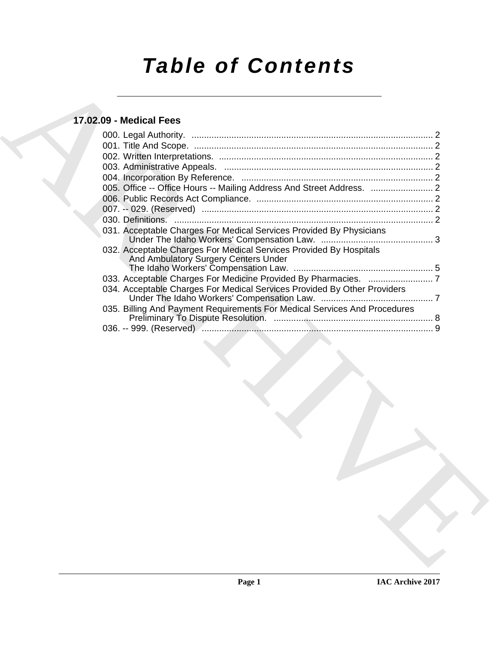# *Table of Contents*

# **17.02.09 - Medical Fees**

| 005. Office -- Office Hours -- Mailing Address And Street Address.  2<br>031. Acceptable Charges For Medical Services Provided By Physicians<br>032. Acceptable Charges For Medical Services Provided By Hospitals<br>And Ambulatory Surgery Centers Under<br>034. Acceptable Charges For Medical Services Provided By Other Providers<br>035. Billing And Payment Requirements For Medical Services And Procedures |  |
|---------------------------------------------------------------------------------------------------------------------------------------------------------------------------------------------------------------------------------------------------------------------------------------------------------------------------------------------------------------------------------------------------------------------|--|
|                                                                                                                                                                                                                                                                                                                                                                                                                     |  |
|                                                                                                                                                                                                                                                                                                                                                                                                                     |  |
|                                                                                                                                                                                                                                                                                                                                                                                                                     |  |
|                                                                                                                                                                                                                                                                                                                                                                                                                     |  |
|                                                                                                                                                                                                                                                                                                                                                                                                                     |  |
|                                                                                                                                                                                                                                                                                                                                                                                                                     |  |
|                                                                                                                                                                                                                                                                                                                                                                                                                     |  |
|                                                                                                                                                                                                                                                                                                                                                                                                                     |  |
|                                                                                                                                                                                                                                                                                                                                                                                                                     |  |
|                                                                                                                                                                                                                                                                                                                                                                                                                     |  |
|                                                                                                                                                                                                                                                                                                                                                                                                                     |  |
|                                                                                                                                                                                                                                                                                                                                                                                                                     |  |
|                                                                                                                                                                                                                                                                                                                                                                                                                     |  |
|                                                                                                                                                                                                                                                                                                                                                                                                                     |  |
|                                                                                                                                                                                                                                                                                                                                                                                                                     |  |
|                                                                                                                                                                                                                                                                                                                                                                                                                     |  |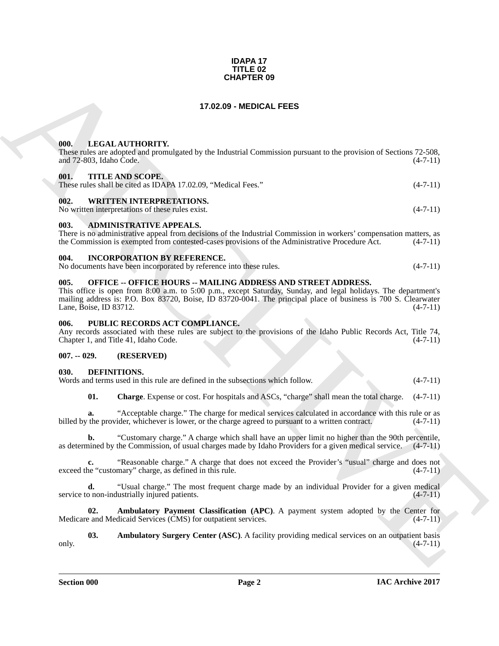#### **IDAPA 17 TITLE 02 CHAPTER 09**

# **17.02.09 - MEDICAL FEES**

#### <span id="page-1-1"></span><span id="page-1-0"></span>**000. LEGAL AUTHORITY.**

These rules are adopted and promulgated by the Industrial Commission pursuant to the provision of Sections 72-508, and 72-803, Idaho Code. (4-7-11) and  $72-803$ , Idaho Code.

#### <span id="page-1-2"></span>**001. TITLE AND SCOPE.**

These rules shall be cited as IDAPA 17.02.09, "Medical Fees." (4-7-11)

# <span id="page-1-3"></span>**002. WRITTEN INTERPRETATIONS.**

No written interpretations of these rules exist. (4-7-11)

#### <span id="page-1-4"></span>**003. ADMINISTRATIVE APPEALS.**

There is no administrative appeal from decisions of the Industrial Commission in workers' compensation matters, as the Commission is exempted from contested-cases provisions of the Administrative Procedure Act. (4-7-11) the Commission is exempted from contested-cases provisions of the Administrative Procedure Act.

#### <span id="page-1-5"></span>**004. INCORPORATION BY REFERENCE.**

No documents have been incorporated by reference into these rules. (4-7-11)

# <span id="page-1-6"></span>**005. OFFICE -- OFFICE HOURS -- MAILING ADDRESS AND STREET ADDRESS.**

**CHAPTER 09**<br> **CHARCHIVE CONTROLLATED CONTROLLATEES**<br> **CHARCHIVE CONTROLLATES**<br> **CHARCHIVE CONTROLLATES**<br> **CHARCHIVE CONTROLLATES**<br> **CHARCHIVE CONTROLLATES**<br> **CHARCHIVE CONTROLLATES**<br> **CHARCHIVE CONTROLLATES**<br> **CONTROLLAT** This office is open from 8:00 a.m. to 5:00 p.m., except Saturday, Sunday, and legal holidays. The department's mailing address is: P.O. Box 83720, Boise, ID 83720-0041. The principal place of business is 700 S. Clearwater Lane, Boise, ID 83712. (4-7-11)

#### <span id="page-1-7"></span>**006. PUBLIC RECORDS ACT COMPLIANCE.**

Any records associated with these rules are subject to the provisions of the Idaho Public Records Act, Title 74, Chapter 1, and Title 41, Idaho Code. (4-7-11) Chapter 1, and Title 41, Idaho Code.

#### <span id="page-1-8"></span>**007. -- 029. (RESERVED)**

#### <span id="page-1-10"></span><span id="page-1-9"></span>**030. DEFINITIONS.**

Words and terms used in this rule are defined in the subsections which follow. (4-7-11)

<span id="page-1-13"></span>**01. Charge**. Expense or cost. For hospitals and ASCs, "charge" shall mean the total charge. (4-7-11)

**a.** "Acceptable charge." The charge for medical services calculated in accordance with this rule or as billed by the provider, whichever is lower, or the charge agreed to pursuant to a written contract. (4-7-11)

**b.** "Customary charge." A charge which shall have an upper limit no higher than the 90th percentile, as determined by the Commission, of usual charges made by Idaho Providers for a given medical service.  $(4-7-11)$ 

"Reasonable charge." A charge that does not exceed the Provider's "usual" charge and does not mary" charge, as defined in this rule.  $(4-7-11)$ exceed the "customary" charge, as defined in this rule.

**d.** "Usual charge." The most frequent charge made by an individual Provider for a given medical service to non-industrially injured patients.  $(4-7-11)$ 

<span id="page-1-11"></span>**02. Ambulatory Payment Classification (APC)**. A payment system adopted by the Center for each Medicaid Services (CMS) for outpatient services. (4-7-11) Medicare and Medicaid Services (CMS) for outpatient services.

<span id="page-1-12"></span>**03. Ambulatory Surgery Center (ASC)**. A facility providing medical services on an outpatient basis only.  $(4-7-11)$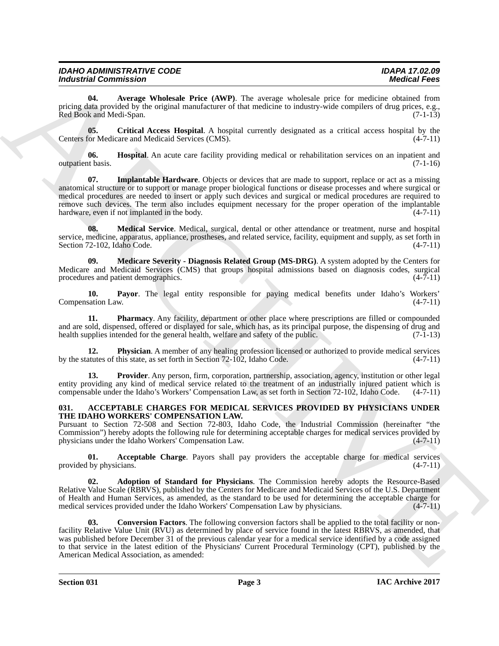| <b>IDAHO ADMINISTRATIVE CODE</b> | <b>IDAPA 17.02.09</b> |
|----------------------------------|-----------------------|
| <b>Industrial Commission</b>     | <b>Medical Fees</b>   |

<span id="page-2-5"></span>**04. Average Wholesale Price (AWP)**. The average wholesale price for medicine obtained from pricing data provided by the original manufacturer of that medicine to industry-wide compilers of drug prices, e.g., Red Book and Medi-Span. (7-1-13)

<span id="page-2-6"></span>**05. Critical Access Hospital**. A hospital currently designated as a critical access hospital by the Centers for Medicare and Medicaid Services (CMS). (4-7-11)

<span id="page-2-8"></span><span id="page-2-7"></span>**06. Hospital**. An acute care facility providing medical or rehabilitation services on an inpatient and outpatient basis. (7-1-16)

**Evolution** 2110, then the state of the state of the state of the state of the state of the state of the state of the state of the state of the state of the state of the state of the state of the state of the state of the **07. Implantable Hardware**. Objects or devices that are made to support, replace or act as a missing anatomical structure or to support or manage proper biological functions or disease processes and where surgical or medical procedures are needed to insert or apply such devices and surgical or medical procedures are required to remove such devices. The term also includes equipment necessary for the proper operation of the implantable hardware, even if not implanted in the body. (4-7-11)

<span id="page-2-9"></span>**08. Medical Service**. Medical, surgical, dental or other attendance or treatment, nurse and hospital service, medicine, apparatus, appliance, prostheses, and related service, facility, equipment and supply, as set forth in Section 72-102, Idaho Code. (4-7-11)

<span id="page-2-10"></span>**09. Medicare Severity - Diagnosis Related Group (MS-DRG)**. A system adopted by the Centers for Medicare and Medicaid Services (CMS) that groups hospital admissions based on diagnosis codes, surgical procedures and patient demographics. (4-7-11) procedures and patient demographics.

<span id="page-2-11"></span>**10. Payor**. The legal entity responsible for paying medical benefits under Idaho's Workers' Compensation Law.

<span id="page-2-12"></span>**11. Pharmacy**. Any facility, department or other place where prescriptions are filled or compounded and are sold, dispensed, offered or displayed for sale, which has, as its principal purpose, the dispensing of drug and health supplies intended for the general health, welfare and safety of the public. (7-1-13) health supplies intended for the general health, welfare and safety of the public.

<span id="page-2-13"></span>**12. Physician**. A member of any healing profession licensed or authorized to provide medical services atures of this state, as set forth in Section 72-102, Idaho Code.  $(4-7-11)$ by the statutes of this state, as set forth in Section 72-102, Idaho Code.

<span id="page-2-14"></span>**13. Provider**. Any person, firm, corporation, partnership, association, agency, institution or other legal entity providing any kind of medical service related to the treatment of an industrially injured patient which is compensable under the Idaho's Workers' Compensation Law, as set forth in Section 72-102, Idaho Code. (4-7-11)

#### <span id="page-2-1"></span><span id="page-2-0"></span>**031. ACCEPTABLE CHARGES FOR MEDICAL SERVICES PROVIDED BY PHYSICIANS UNDER THE IDAHO WORKERS' COMPENSATION LAW.**

Pursuant to Section 72-508 and Section 72-803, Idaho Code, the Industrial Commission (hereinafter "the Commission") hereby adopts the following rule for determining acceptable charges for medical services provided by physicians under the Idaho Workers' Compensation Law. (4-7-11)

<span id="page-2-2"></span>**01. Acceptable Charge**. Payors shall pay providers the acceptable charge for medical services (by physicians. (4-7-11) provided by physicians.

<span id="page-2-3"></span>**02. Adoption of Standard for Physicians**. The Commission hereby adopts the Resource-Based Relative Value Scale (RBRVS), published by the Centers for Medicare and Medicaid Services of the U.S. Department of Health and Human Services, as amended, as the standard to be used for determining the acceptable charge for medical services provided under the Idaho Workers' Compensation Law by physicians. (4-7-11) medical services provided under the Idaho Workers' Compensation Law by physicians.

<span id="page-2-4"></span>**03. Conversion Factors**. The following conversion factors shall be applied to the total facility or nonfacility Relative Value Unit (RVU) as determined by place of service found in the latest RBRVS, as amended, that was published before December 31 of the previous calendar year for a medical service identified by a code assigned to that service in the latest edition of the Physicians' Current Procedural Terminology (CPT), published by the American Medical Association, as amended: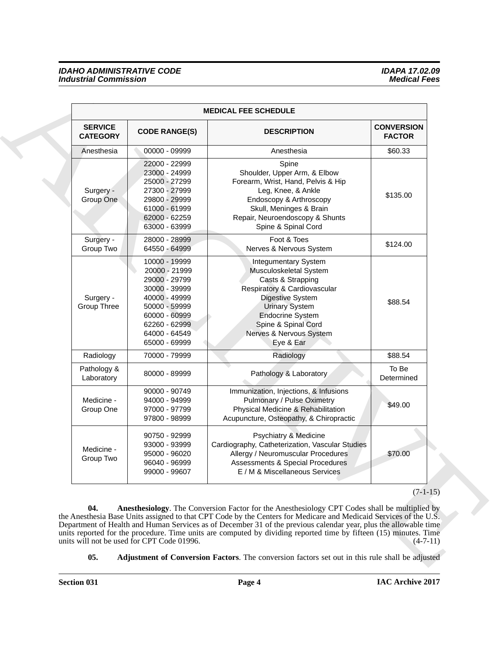# <span id="page-3-1"></span><span id="page-3-0"></span>*IDAHO ADMINISTRATIVE CODE IDAPA 17.02.09* **Industrial Commission**

|                                   |                                                                                                                                                                        | <b>MEDICAL FEE SCHEDULE</b>                                                                                                                                                                                                                                                                                                                                                                                                                                 |                                    |
|-----------------------------------|------------------------------------------------------------------------------------------------------------------------------------------------------------------------|-------------------------------------------------------------------------------------------------------------------------------------------------------------------------------------------------------------------------------------------------------------------------------------------------------------------------------------------------------------------------------------------------------------------------------------------------------------|------------------------------------|
| <b>SERVICE</b><br><b>CATEGORY</b> | <b>CODE RANGE(S)</b>                                                                                                                                                   | <b>DESCRIPTION</b>                                                                                                                                                                                                                                                                                                                                                                                                                                          | <b>CONVERSION</b><br><b>FACTOR</b> |
| Anesthesia                        | 00000 - 09999                                                                                                                                                          | Anesthesia                                                                                                                                                                                                                                                                                                                                                                                                                                                  | \$60.33                            |
| Surgery -<br>Group One            | 22000 - 22999<br>23000 - 24999<br>25000 - 27299<br>27300 - 27999<br>29800 - 29999<br>61000 - 61999<br>62000 - 62259<br>63000 - 63999                                   | Spine<br>Shoulder, Upper Arm, & Elbow<br>Forearm, Wrist, Hand, Pelvis & Hip<br>Leg, Knee, & Ankle<br>Endoscopy & Arthroscopy<br>Skull, Meninges & Brain<br>Repair, Neuroendoscopy & Shunts<br>Spine & Spinal Cord                                                                                                                                                                                                                                           | \$135.00                           |
| Surgery -<br>Group Two            | 28000 - 28999<br>64550 - 64999                                                                                                                                         | Foot & Toes<br>Nerves & Nervous System                                                                                                                                                                                                                                                                                                                                                                                                                      | \$124.00                           |
| Surgery -<br>Group Three          | 10000 - 19999<br>20000 - 21999<br>29000 - 29799<br>30000 - 39999<br>40000 - 49999<br>50000 - 59999<br>60000 - 60999<br>62260 - 62999<br>64000 - 64549<br>65000 - 69999 | <b>Integumentary System</b><br>Musculoskeletal System<br>Casts & Strapping<br>Respiratory & Cardiovascular<br>Digestive System<br><b>Urinary System</b><br><b>Endocrine System</b><br>Spine & Spinal Cord<br>Nerves & Nervous System<br>Eye & Ear                                                                                                                                                                                                           | \$88.54                            |
| Radiology                         | 70000 - 79999                                                                                                                                                          | Radiology                                                                                                                                                                                                                                                                                                                                                                                                                                                   | \$88.54                            |
| Pathology &<br>Laboratory         | 80000 - 89999                                                                                                                                                          | Pathology & Laboratory                                                                                                                                                                                                                                                                                                                                                                                                                                      | To Be<br>Determined                |
| Medicine -<br>Group One           | 90000 - 90749<br>94000 - 94999<br>97000 - 97799<br>97800 - 98999                                                                                                       | Immunization, Injections, & Infusions<br>Pulmonary / Pulse Oximetry<br>Physical Medicine & Rehabilitation<br>Acupuncture, Osteopathy, & Chiropractic                                                                                                                                                                                                                                                                                                        | \$49.00                            |
| Medicine -<br>Group Two           | 90750 - 92999<br>93000 - 93999<br>95000 - 96020<br>96040 - 96999<br>99000 - 99607                                                                                      | Psychiatry & Medicine<br>Cardiography, Catheterization, Vascular Studies<br>Allergy / Neuromuscular Procedures<br>Assessments & Special Procedures<br>E / M & Miscellaneous Services                                                                                                                                                                                                                                                                        | \$70.00                            |
| 04.                               | units will not be used for CPT Code 01996.                                                                                                                             | Anesthesiology. The Conversion Factor for the Anesthesiology CPT Codes shall be multiplied by<br>the Anesthesia Base Units assigned to that CPT Code by the Centers for Medicare and Medicaid Services of the U.S.<br>Department of Health and Human Services as of December 31 of the previous calendar year, plus the allowable time<br>units reported for the procedure. Time units are computed by dividing reported time by fifteen (15) minutes. Time | $(7-1-15)$<br>$(4-7-11)$           |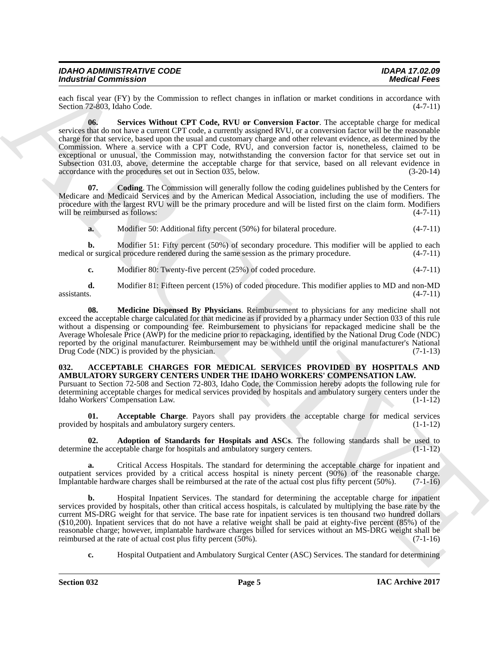| <b>IDAHO ADMINISTRATIVE CODE</b> |  |
|----------------------------------|--|
| <b>Industrial Commission</b>     |  |

<span id="page-4-6"></span>each fiscal year (FY) by the Commission to reflect changes in inflation or market conditions in accordance with Section 72-803. Idaho Code. (4-7-11) Section 72-803, Idaho Code.

Moderniz Street Commutation or the Commission or the Commission or the Commission or the Commission or the Commission or the Commission or the Commission or the Commission or the Commission or the Commission of the Commis **06. Services Without CPT Code, RVU or Conversion Factor**. The acceptable charge for medical services that do not have a current CPT code, a currently assigned RVU, or a conversion factor will be the reasonable charge for that service, based upon the usual and customary charge and other relevant evidence, as determined by the Commission. Where a service with a CPT Code, RVU, and conversion factor is, nonetheless, claimed to be exceptional or unusual, the Commission may, notwithstanding the conversion factor for that service set out in Subsection 031.03, above, determine the acceptable charge for that service, based on all relevant evidence in accordance with the procedures set out in Section 035, below. (3-20-14)

**07. Coding**. The Commission will generally follow the coding guidelines published by the Centers for Medicare and Medicaid Services and by the American Medical Association, including the use of modifiers. The procedure with the largest RVU will be the primary procedure and will be listed first on the claim form. Modifiers will be reimbursed as follows: (4-7-11)

<span id="page-4-4"></span>**a.** Modifier 50: Additional fifty percent (50%) for bilateral procedure. (4-7-11)

**b.** Modifier 51: Fifty percent (50%) of secondary procedure. This modifier will be applied to each or surgical procedure rendered during the same session as the primary procedure.  $(4-7-11)$ medical or surgical procedure rendered during the same session as the primary procedure.

<span id="page-4-5"></span>**c.** Modifier 80: Twenty-five percent (25%) of coded procedure. (4-7-11)

**d.** Modifier 81: Fifteen percent (15%) of coded procedure. This modifier applies to MD and non-MD  $\alpha$ ssistants. (4-7-11)

**08. Medicine Dispensed By Physicians**. Reimbursement to physicians for any medicine shall not exceed the acceptable charge calculated for that medicine as if provided by a pharmacy under Section 033 of this rule without a dispensing or compounding fee. Reimbursement to physicians for repackaged medicine shall be the Average Wholesale Price (AWP) for the medicine prior to repackaging, identified by the National Drug Code (NDC) reported by the original manufacturer. Reimbursement may be withheld until the original manufacturer's National Drug Code (NDC) is provided by the physician.  $(7-1-13)$ 

#### <span id="page-4-1"></span><span id="page-4-0"></span>**032. ACCEPTABLE CHARGES FOR MEDICAL SERVICES PROVIDED BY HOSPITALS AND AMBULATORY SURGERY CENTERS UNDER THE IDAHO WORKERS' COMPENSATION LAW.**

Pursuant to Section 72-508 and Section 72-803, Idaho Code, the Commission hereby adopts the following rule for determining acceptable charges for medical services provided by hospitals and ambulatory surgery centers under the Idaho Workers' Compensation Law. (1-1-12)

<span id="page-4-2"></span>**01. Acceptable Charge**. Payors shall pay providers the acceptable charge for medical services by hospitals and ambulatory surgery centers. (1-1-12) provided by hospitals and ambulatory surgery centers.

<span id="page-4-3"></span>**02. Adoption of Standards for Hospitals and ASCs**. The following standards shall be used to e the acceptable charge for hospitals and ambulatory surgery centers. (1-1-12) determine the acceptable charge for hospitals and ambulatory surgery centers.

**a.** Critical Access Hospitals. The standard for determining the acceptable charge for inpatient and outpatient services provided by a critical access hospital is ninety percent (90%) of the reasonable charge. Implantable hardware charges shall be reimbursed at the rate of the actual cost plus fifty percent (50%). (7-1-16)

**b.** Hospital Inpatient Services. The standard for determining the acceptable charge for inpatient services provided by hospitals, other than critical access hospitals, is calculated by multiplying the base rate by the current MS-DRG weight for that service. The base rate for inpatient services is ten thousand two hundred dollars (\$10,200). Inpatient services that do not have a relative weight shall be paid at eighty-five percent (85%) of the reasonable charge; however, implantable hardware charges billed for services without an MS-DRG weight shall be reimbursed at the rate of actual cost plus fifty percent (50%). reimbursed at the rate of actual cost plus fifty percent  $(50\%)$ .

**c.** Hospital Outpatient and Ambulatory Surgical Center (ASC) Services. The standard for determining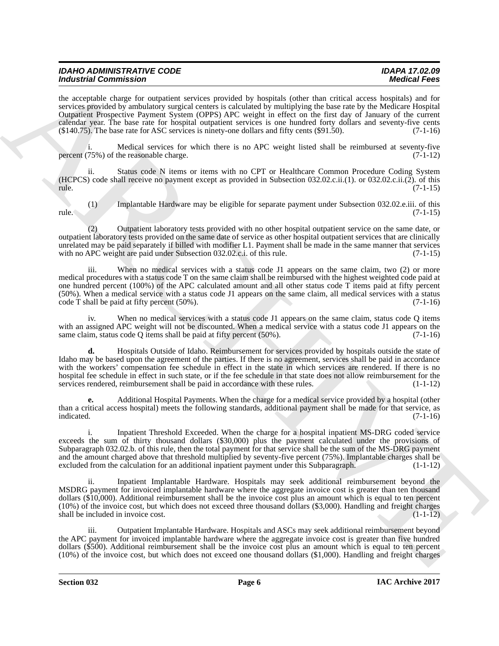| <b>IDAHO ADMINISTRATIVE CODE</b> | <b>IDAPA 17.02.09</b> |
|----------------------------------|-----------------------|
|                                  |                       |
| <b>Industrial Commission</b>     | <b>Medical Fees</b>   |
|                                  |                       |

the acceptable charge for outpatient services provided by hospitals (other than critical access hospitals) and for services provided by ambulatory surgical centers is calculated by multiplying the base rate by the Medicare Hospital Outpatient Prospective Payment System (OPPS) APC weight in effect on the first day of January of the current calendar year. The base rate for hospital outpatient services is one hundred forty dollars and seventy-five cents (\$140.75). The base rate for ASC services is ninety-one dollars and fifty cents (\$91.50). (7-1-16)

i. Medical services for which there is no APC weight listed shall be reimbursed at seventy-five percent  $(75%)$  of the reasonable charge. (7-1-12)

ii. Status code N items or items with no CPT or Healthcare Common Procedure Coding System (HCPCS) code shall receive no payment except as provided in Subsection 032.02.c.ii.(1). or 032.02.c.ii.(2). of this rule. (7-1-15)

(1) Implantable Hardware may be eligible for separate payment under Subsection 032.02.e.iii. of this  $rule.$  (7-1-15)

(2) Outpatient laboratory tests provided with no other hospital outpatient service on the same date, or outpatient laboratory tests provided on the same date of service as other hospital outpatient services that are clinically unrelated may be paid separately if billed with modifier L1. Payment shall be made in the same manner that services with no APC weight are paid under Subsection 032.02.c.i. of this rule. (7-1-15)

iii. When no medical services with a status code J1 appears on the same claim, two (2) or more medical procedures with a status code T on the same claim shall be reimbursed with the highest weighted code paid at one hundred percent (100%) of the APC calculated amount and all other status code T items paid at fifty percent (50%). When a medical service with a status code J1 appears on the same claim, all medical services with a status  $\text{code T shall be paid at fifty percent } (50\%)$ . (7-1-16)

iv. When no medical services with a status code J1 appears on the same claim, status code Q items with an assigned APC weight will not be discounted. When a medical service with a status code J1 appears on the same claim, status code Q items shall be paid at fifty percent (50%). (7-1-16)

**Brainville Commute Simple Research Architects and the special collective line with the special commute of the special control of the special control of the special control of the special control of the special control of d.** Hospitals Outside of Idaho. Reimbursement for services provided by hospitals outside the state of Idaho may be based upon the agreement of the parties. If there is no agreement, services shall be paid in accordance with the workers' compensation fee schedule in effect in the state in which services are rendered. If there is no hospital fee schedule in effect in such state, or if the fee schedule in that state does not allow reimbursement for the services rendered, reimbursement shall be paid in accordance with these rules. (1-1-12)

**e.** Additional Hospital Payments. When the charge for a medical service provided by a hospital (other than a critical access hospital) meets the following standards, additional payment shall be made for that service, as indicated. (7-1-16) indicated.  $(7-1-16)$ 

i. Inpatient Threshold Exceeded. When the charge for a hospital inpatient MS-DRG coded service exceeds the sum of thirty thousand dollars (\$30,000) plus the payment calculated under the provisions of Subparagraph 032.02.b. of this rule, then the total payment for that service shall be the sum of the MS-DRG payment and the amount charged above that threshold multiplied by seventy-five percent  $(75%)$ . Implantable charges shall be excluded from the calculation for an additional inpatient payment under this Subparagraph.  $(1-1-12)$ excluded from the calculation for an additional inpatient payment under this Subparagraph.

Inpatient Implantable Hardware. Hospitals may seek additional reimbursement beyond the MSDRG payment for invoiced implantable hardware where the aggregate invoice cost is greater than ten thousand dollars (\$10,000). Additional reimbursement shall be the invoice cost plus an amount which is equal to ten percent (10%) of the invoice cost, but which does not exceed three thousand dollars (\$3,000). Handling and freight charges shall be included in invoice cost. (1-1-12)

iii. Outpatient Implantable Hardware. Hospitals and ASCs may seek additional reimbursement beyond the APC payment for invoiced implantable hardware where the aggregate invoice cost is greater than five hundred dollars (\$500). Additional reimbursement shall be the invoice cost plus an amount which is equal to ten percent (10%) of the invoice cost, but which does not exceed one thousand dollars (\$1,000). Handling and freight charges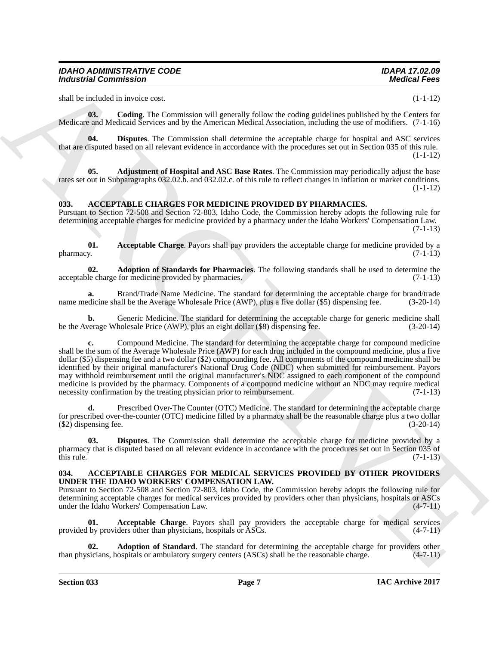<span id="page-6-3"></span>shall be included in invoice cost. (1-1-12)

**03. Coding**. The Commission will generally follow the coding guidelines published by the Centers for Medicare and Medicaid Services and by the American Medical Association, including the use of modifiers. (7-1-16)

<span id="page-6-4"></span>**04. Disputes**. The Commission shall determine the acceptable charge for hospital and ASC services that are disputed based on all relevant evidence in accordance with the procedures set out in Section 035 of this rule.  $(1-1-12)$ 

<span id="page-6-2"></span>**05. Adjustment of Hospital and ASC Base Rates**. The Commission may periodically adjust the base rates set out in Subparagraphs 032.02.b. and 032.02.c. of this rule to reflect changes in inflation or market conditions.  $(1-1-12)$ 

# <span id="page-6-8"></span><span id="page-6-0"></span>**033. ACCEPTABLE CHARGES FOR MEDICINE PROVIDED BY PHARMACIES.**

Pursuant to Section 72-508 and Section 72-803, Idaho Code, the Commission hereby adopts the following rule for determining acceptable charges for medicine provided by a pharmacy under the Idaho Workers' Compensation Law. (7-1-13)

<span id="page-6-9"></span>**01.** Acceptable Charge. Payors shall pay providers the acceptable charge for medicine provided by a pharmacy. (7-1-13)  $pharmacy.$  (7-1-13)

<span id="page-6-10"></span>**02. Adoption of Standards for Pharmacies**. The following standards shall be used to determine the le charge for medicine provided by pharmacies. (7-1-13) acceptable charge for medicine provided by pharmacies.

Brand/Trade Name Medicine. The standard for determining the acceptable charge for brand/trade all be the Average Wholesale Price (AWP), plus a five dollar (\$5) dispensing fee. (3-20-14) name medicine shall be the Average Wholesale Price (AWP), plus a five dollar (\$5) dispensing fee.

**b.** Generic Medicine. The standard for determining the acceptable charge for generic medicine shall verage Wholesale Price (AWP), plus an eight dollar (\$8) dispensing fee. (3-20-14) be the Average Wholesale Price (AWP), plus an eight dollar (\$8) dispensing fee.

Moderation Commission Commission Commission Commission Commission Commission Commission Commission Commission Commission Commission Commission Commission Commission Commission Commission Commission Commission Commission C **c.** Compound Medicine. The standard for determining the acceptable charge for compound medicine shall be the sum of the Average Wholesale Price (AWP) for each drug included in the compound medicine, plus a five dollar (\$5) dispensing fee and a two dollar (\$2) compounding fee. All components of the compound medicine shall be identified by their original manufacturer's National Drug Code (NDC) when submitted for reimbursement. Payors may withhold reimbursement until the original manufacturer's NDC assigned to each component of the compound medicine is provided by the pharmacy. Components of a compound medicine without an NDC may require medical necessity confirmation by the treating physician prior to reimbursement. (7-1-13)

Prescribed Over-The Counter (OTC) Medicine. The standard for determining the acceptable charge for prescribed over-the-counter (OTC) medicine filled by a pharmacy shall be the reasonable charge plus a two dollar  $(\text{\$2})$  dispensing fee.  $(3-20-14)$ 

<span id="page-6-11"></span>**03. Disputes**. The Commission shall determine the acceptable charge for medicine provided by a pharmacy that is disputed based on all relevant evidence in accordance with the procedures set out in Section 035 of this rule. (7-1-13) this rule.  $(7-1-13)$ 

#### <span id="page-6-5"></span><span id="page-6-1"></span>**034. ACCEPTABLE CHARGES FOR MEDICAL SERVICES PROVIDED BY OTHER PROVIDERS UNDER THE IDAHO WORKERS' COMPENSATION LAW.**

Pursuant to Section 72-508 and Section 72-803, Idaho Code, the Commission hereby adopts the following rule for determining acceptable charges for medical services provided by providers other than physicians, hospitals or ASCs<br>under the Idaho Workers' Compensation Law. (4-7-11) under the Idaho Workers' Compensation Law.

<span id="page-6-6"></span>**01. Acceptable Charge**. Payors shall pay providers the acceptable charge for medical services provided by providers other than physicians, hospitals or ASCs. (4-7-11)

<span id="page-6-7"></span>**Adoption of Standard**. The standard for determining the acceptable charge for providers other ospitals or ambulatory surgery centers (ASCs) shall be the reasonable charge. (4-7-11) than physicians, hospitals or ambulatory surgery centers (ASCs) shall be the reasonable charge.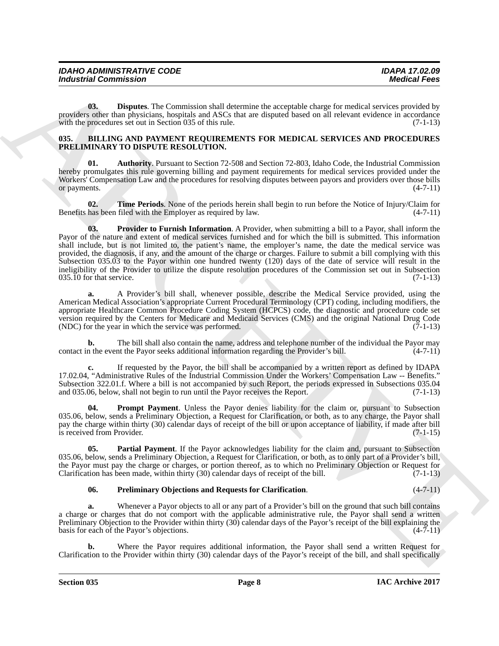| <b>IDAHO ADMINISTRATIVE CODE</b> | <b>IDAPA 17.02.09</b> |
|----------------------------------|-----------------------|
| <b>Industrial Commission</b>     | <b>Medical Fees</b>   |

<span id="page-7-1"></span>**03. Disputes**. The Commission shall determine the acceptable charge for medical services provided by providers other than physicians, hospitals and ASCs that are disputed based on all relevant evidence in accordance with the procedures set out in Section 035 of this rule. (7-1-13)

#### <span id="page-7-2"></span><span id="page-7-0"></span>**035. BILLING AND PAYMENT REQUIREMENTS FOR MEDICAL SERVICES AND PROCEDURES PRELIMINARY TO DISPUTE RESOLUTION.**

<span id="page-7-3"></span>**01. Authority**. Pursuant to Section 72-508 and Section 72-803, Idaho Code, the Industrial Commission hereby promulgates this rule governing billing and payment requirements for medical services provided under the Workers' Compensation Law and the procedures for resolving disputes between payors and providers over those bills or payments. (4-7-11) or payments.

<span id="page-7-8"></span><span id="page-7-7"></span>**02. Time Periods**. None of the periods herein shall begin to run before the Notice of Injury/Claim for Benefits has been filed with the Employer as required by law. (4-7-11)

For the Commission Commission Commission Commission (Exception the symptom data commission of the Commission Commission Commission Commission Commission Commission Commission Commission Commission Commission Commission Co **03. Provider to Furnish Information**. A Provider, when submitting a bill to a Payor, shall inform the Payor of the nature and extent of medical services furnished and for which the bill is submitted. This information shall include, but is not limited to, the patient's name, the employer's name, the date the medical service was provided, the diagnosis, if any, and the amount of the charge or charges. Failure to submit a bill complying with this Subsection 035.03 to the Payor within one hundred twenty (120) days of the date of service will result in the ineligibility of the Provider to utilize the dispute resolution procedures of the Commission set out in Subsection  $035.\overline{10}$  for that service. (7-1-13)

**a.** A Provider's bill shall, whenever possible, describe the Medical Service provided, using the American Medical Association's appropriate Current Procedural Terminology (CPT) coding, including modifiers, the appropriate Healthcare Common Procedure Coding System (HCPCS) code, the diagnostic and procedure code set version required by the Centers for Medicare and Medicaid Services (CMS) and the original National Drug Code (NDC) for the year in which the service was performed.  $(7-1-13)$ 

**b.** The bill shall also contain the name, address and telephone number of the individual the Payor may n the event the Payor seeks additional information regarding the Provider's bill. (4-7-11) contact in the event the Payor seeks additional information regarding the Provider's bill.

**c.** If requested by the Payor, the bill shall be accompanied by a written report as defined by IDAPA 17.02.04, "Administrative Rules of the Industrial Commission Under the Workers' Compensation Law -- Benefits." Subsection 322.01.f. Where a bill is not accompanied by such Report, the periods expressed in Subsections 035.04 and 035.06, below, shall not begin to run until the Payor receives the Report. (7-1-13)

<span id="page-7-6"></span>**Prompt Payment**. Unless the Payor denies liability for the claim or, pursuant to Subsection 035.06, below, sends a Preliminary Objection, a Request for Clarification, or both, as to any charge, the Payor shall pay the charge within thirty (30) calendar days of receipt of the bill or upon acceptance of liability, if made after bill is received from Provider. (7-1-15)

**05. Partial Payment**. If the Payor acknowledges liability for the claim and, pursuant to Subsection 035.06, below, sends a Preliminary Objection, a Request for Clarification, or both, as to only part of a Provider's bill, the Payor must pay the charge or charges, or portion thereof, as to which no Preliminary Objection or Request for Clarification has been made, within thirty  $(30)$  calendar days of receipt of the bill.  $(7-1-13)$ 

#### <span id="page-7-5"></span><span id="page-7-4"></span>**06. Preliminary Objections and Requests for Clarification**. (4-7-11)

**a.** Whenever a Payor objects to all or any part of a Provider's bill on the ground that such bill contains a charge or charges that do not comport with the applicable administrative rule, the Payor shall send a written Preliminary Objection to the Provider within thirty (30) calendar days of the Payor's receipt of the bill explaining the basis for each of the Payor's objections. (4-7-11) basis for each of the Payor's objections.

**b.** Where the Payor requires additional information, the Payor shall send a written Request for Clarification to the Provider within thirty (30) calendar days of the Payor's receipt of the bill, and shall specifically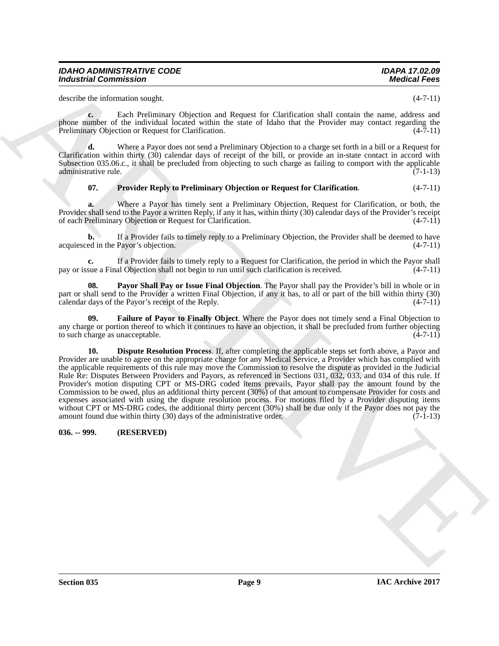| <b>IDAHO ADMINISTRATIVE CODE</b> | <b>IDAPA 17.02.09</b> |
|----------------------------------|-----------------------|
| <b>Industrial Commission</b>     | <b>Medical Fees</b>   |

describe the information sought. (4-7-11)

**c.** Each Preliminary Objection and Request for Clarification shall contain the name, address and phone number of the individual located within the state of Idaho that the Provider may contact regarding the Preliminary Objection or Request for Clarification. (4-7-11)

**d.** Where a Payor does not send a Preliminary Objection to a charge set forth in a bill or a Request for Clarification within thirty (30) calendar days of receipt of the bill, or provide an in-state contact in accord with Subsection 035.06.c., it shall be precluded from objecting to such charge as failing to comport with the applicable administrative rule. (7-1-13)

### <span id="page-8-4"></span>**07. Provider Reply to Preliminary Objection or Request for Clarification**. (4-7-11)

**a.** Where a Payor has timely sent a Preliminary Objection, Request for Clarification, or both, the Provider shall send to the Payor a written Reply, if any it has, within thirty (30) calendar days of the Provider's receipt of each Preliminary Objection or Request for Clarification. (4-7-11)

**b.** If a Provider fails to timely reply to a Preliminary Objection, the Provider shall be deemed to have acquiesced in the Payor's objection. (4-7-11)

**c.** If a Provider fails to timely reply to a Request for Clarification, the period in which the Payor shall sue a Final Objection shall not begin to run until such clarification is received.  $(4-7-11)$ pay or issue a Final Objection shall not begin to run until such clarification is received.

<span id="page-8-3"></span>**Payor Shall Pay or Issue Final Objection**. The Payor shall pay the Provider's bill in whole or in part or shall send to the Provider a written Final Objection, if any it has, to all or part of the bill within thirty (30) calendar days of the Payor's receipt of the Reply.  $(4-7-11)$ 

<span id="page-8-2"></span><span id="page-8-1"></span>**09. Failure of Payor to Finally Object**. Where the Payor does not timely send a Final Objection to any charge or portion thereof to which it continues to have an objection, it shall be precluded from further objecting to such charge as unacceptable. (4-7-11)

Moderation Commission <sup>2</sup> Moderation 21.<br>
Another statement and the statement of Charles the Charles with create for an another statement of the Division 2013<br>
Although the Regard Research Charles with the Statement of Ch **10. Dispute Resolution Process**. If, after completing the applicable steps set forth above, a Payor and Provider are unable to agree on the appropriate charge for any Medical Service, a Provider which has complied with the applicable requirements of this rule may move the Commission to resolve the dispute as provided in the Judicial Rule Re: Disputes Between Providers and Payors, as referenced in Sections 031, 032, 033, and 034 of this rule. If Provider's motion disputing CPT or MS-DRG coded items prevails, Payor shall pay the amount found by the Commission to be owed, plus an additional thirty percent (30%) of that amount to compensate Provider for costs and expenses associated with using the dispute resolution process. For motions filed by a Provider disputing items without CPT or MS-DRG codes, the additional thirty percent (30%) shall be due only if the Payor does not pay the amount found due within thirty (30) days of the administrative order.  $(7-1-13)$ amount found due within thirty  $(30)$  days of the administrative order.

<span id="page-8-0"></span>**036. -- 999. (RESERVED)**